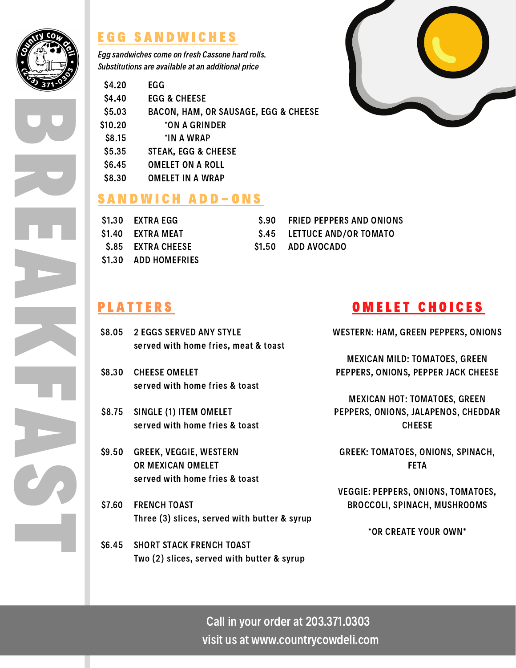

B

R

E

A

K

F

A

CA

T

## E G G S A N D W I C H E S

Egg sandwiches come on fresh Cassone hard rolls. Substitutions are available at an additional price

| \$4.20  | <b>EGG</b>                                      |
|---------|-------------------------------------------------|
| \$4.40  | <b>EGG &amp; CHEESE</b>                         |
| \$5.03  | <b>BACON, HAM, OR SAUSAGE, EGG &amp; CHEESE</b> |
| \$10.20 | *ON A GRINDER                                   |
| \$8.15  | *IN A WRAP                                      |
| \$5.35  | <b>STEAK, EGG &amp; CHEESE</b>                  |
| \$6.45  | OMELET ON A ROLL                                |
| \$8.30  | <b>OMELET IN A WRAP</b>                         |
|         |                                                 |

#### SANDWICH ADD-ONS

| \$1.30 EXTRA EGG            | S.90 FRIED PEPPERS AND ONIONS |
|-----------------------------|-------------------------------|
| \$1.40 EXTRA MEAT           | \$.45 LETTUCE AND/OR TOMATO   |
| <b>S.85 EXTRA CHEESE</b>    | S1.50 ADD AVOCADO             |
| <b>\$1.30 ADD HOMEFRIES</b> |                               |

# **PLATTERS**

- \$8.05 2 EGGS SERVED ANY STYLE served with home fries, meat & toast
- \$8.30 CHEESE OMELET served with home fries & toast
- \$8.75 SINGLE (1) ITEM OMELET served with home fries & toast
- \$9.50 GREEK, VEGGIE, WESTERN OR MEXICAN OMELET served with home fries & toast
- FRENCH TOAST Three (3) slices, served with butter & syrup \$7.60
- SHORT STACK FRENCH TOAST Two (2) slices, served with butter & syrup \$6.45



WESTERN: HAM, GREEN PEPPERS, ONIONS

MEXICAN MILD: TOMATOES, GREEN PEPPERS, ONIONS, PEPPER JACK CHEESE

MEXICAN HOT: TOMATOES, GREEN PEPPERS, ONIONS, JALAPENOS, CHEDDAR **CHEESE** 

GREEK: TOMATOES, ONIONS, SPINACH, FETA

VEGGIE: PEPPERS, ONIONS, TOMATOES, BROCCOLI, SPINACH, MUSHROOMS

\*OR CREATE YOUR OWN\*

Call in your order at 203.371.0303 visit us at www.countrycowdeli.com